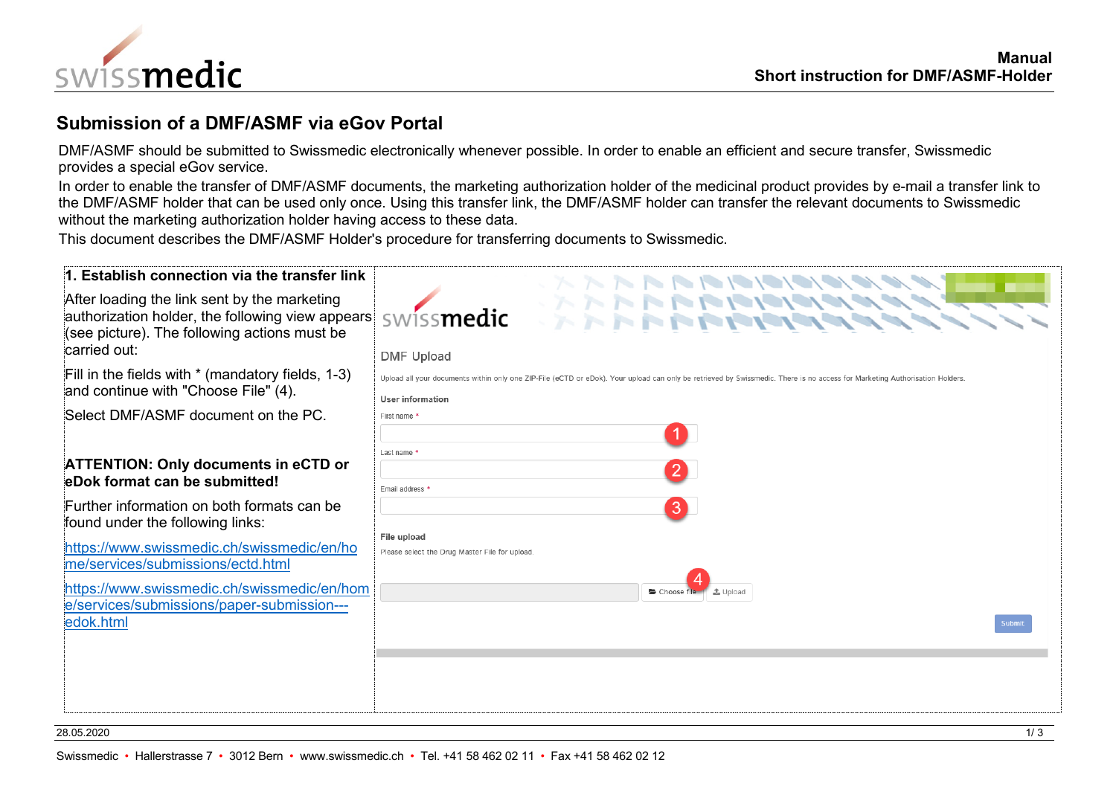

## **Submission of a DMF/ASMF via eGov Portal**

DMF/ASMF should be submitted to Swissmedic electronically whenever possible. In order to enable an efficient and secure transfer, Swissmedic provides a special eGov service.

In order to enable the transfer of DMF/ASMF documents, the marketing authorization holder of the medicinal product provides by e-mail a transfer link to the DMF/ASMF holder that can be used only once. Using this transfer link, the DMF/ASMF holder can transfer the relevant documents to Swissmedic without the marketing authorization holder having access to these data.

This document describes the DMF/ASMF Holder's procedure for transferring documents to Swissmedic.

| 1. Establish connection via the transfer link                                                                                                                     |                                                                                                                                                                                                 |
|-------------------------------------------------------------------------------------------------------------------------------------------------------------------|-------------------------------------------------------------------------------------------------------------------------------------------------------------------------------------------------|
| After loading the link sent by the marketing<br>authorization holder, the following view appears<br>(see picture). The following actions must be<br>carried out:  | swissmedic<br><b>DMF Upload</b>                                                                                                                                                                 |
| Fill in the fields with $*$ (mandatory fields, 1-3)<br>and continue with "Choose File" (4).                                                                       | Upload all your documents within only one ZIP-File (eCTD or eDok). Your upload can only be retrieved by Swissmedic. There is no access for Marketing Authorisation Holders.<br>User information |
| Select DMF/ASMF document on the PC.                                                                                                                               | First name *                                                                                                                                                                                    |
| <b>ATTENTION: Only documents in eCTD or</b><br>eDok format can be submitted!                                                                                      | Last name *<br>$\mathbf{2}$<br>Email address *                                                                                                                                                  |
| Further information on both formats can be<br>found under the following links:<br>https://www.swissmedic.ch/swissmedic/en/ho<br>me/services/submissions/ectd.html | $\vert 3 \rangle$<br>File upload<br>Please select the Drug Master File for upload.                                                                                                              |
| https://www.swissmedic.ch/swissmedic/en/hom<br>e/services/submissions/paper-submission---<br>edok.html                                                            |                                                                                                                                                                                                 |
|                                                                                                                                                                   |                                                                                                                                                                                                 |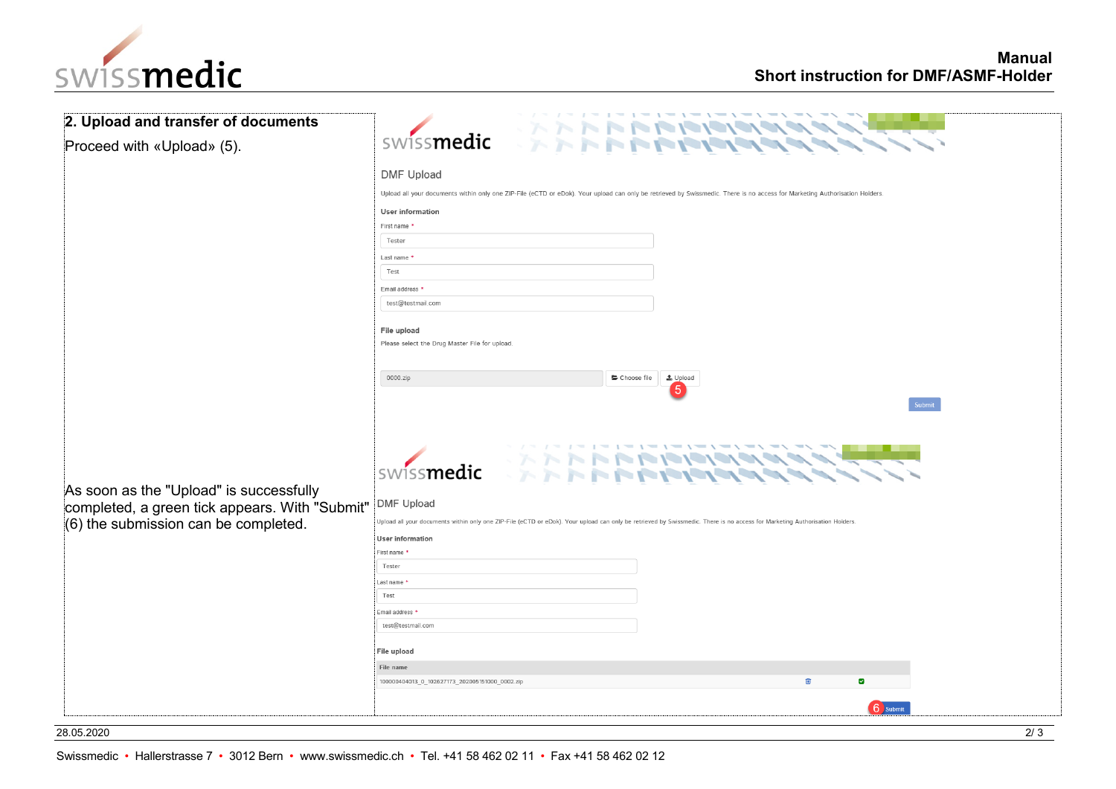

| 2. Upload and transfer of documents                                                                                               |                                                                                                                                                                                                                                                                                                                                                                                |  |  |  |
|-----------------------------------------------------------------------------------------------------------------------------------|--------------------------------------------------------------------------------------------------------------------------------------------------------------------------------------------------------------------------------------------------------------------------------------------------------------------------------------------------------------------------------|--|--|--|
| Proceed with «Upload» (5).                                                                                                        | <b>ERRI</b><br>swissmedic                                                                                                                                                                                                                                                                                                                                                      |  |  |  |
|                                                                                                                                   | <b>DMF Upload</b><br>Upload all your documents within only one ZIP-File (eCTD or eDok). Your upload can only be retrieved by Swissmedic. There is no access for Marketing Authorisation Holders.<br>User information<br>First name *<br>Tester<br>Last name *<br>Test<br>Email address '<br>test@testmail.com<br>File upload<br>Please select the Drug Master File for upload. |  |  |  |
| As soon as the "Upload" is successfully<br>completed, a green tick appears. With "Submit"<br>(6) the submission can be completed. | 0000.zip<br>Choose file<br>t Upload<br>5<br>Submit<br>swissmedic<br><b>DMF</b> Upload<br>Upload all your documents within only one ZIP-File (eCTD or eDok). Your upload can only be retrieved by Swissmedic. There is no access for Marketing Authorisation Holders.<br><b>User information</b><br>First name<br>Tester<br>Last name<br>Test                                   |  |  |  |
|                                                                                                                                   | Email address *<br>test@testmail.com<br>File upload<br>File name<br>勔<br>100000404013_0_102627173_202005151000_0002.zip<br>$\overline{\mathbf{v}}$<br>6 Submit                                                                                                                                                                                                                 |  |  |  |

28.05.2020 2/ 3